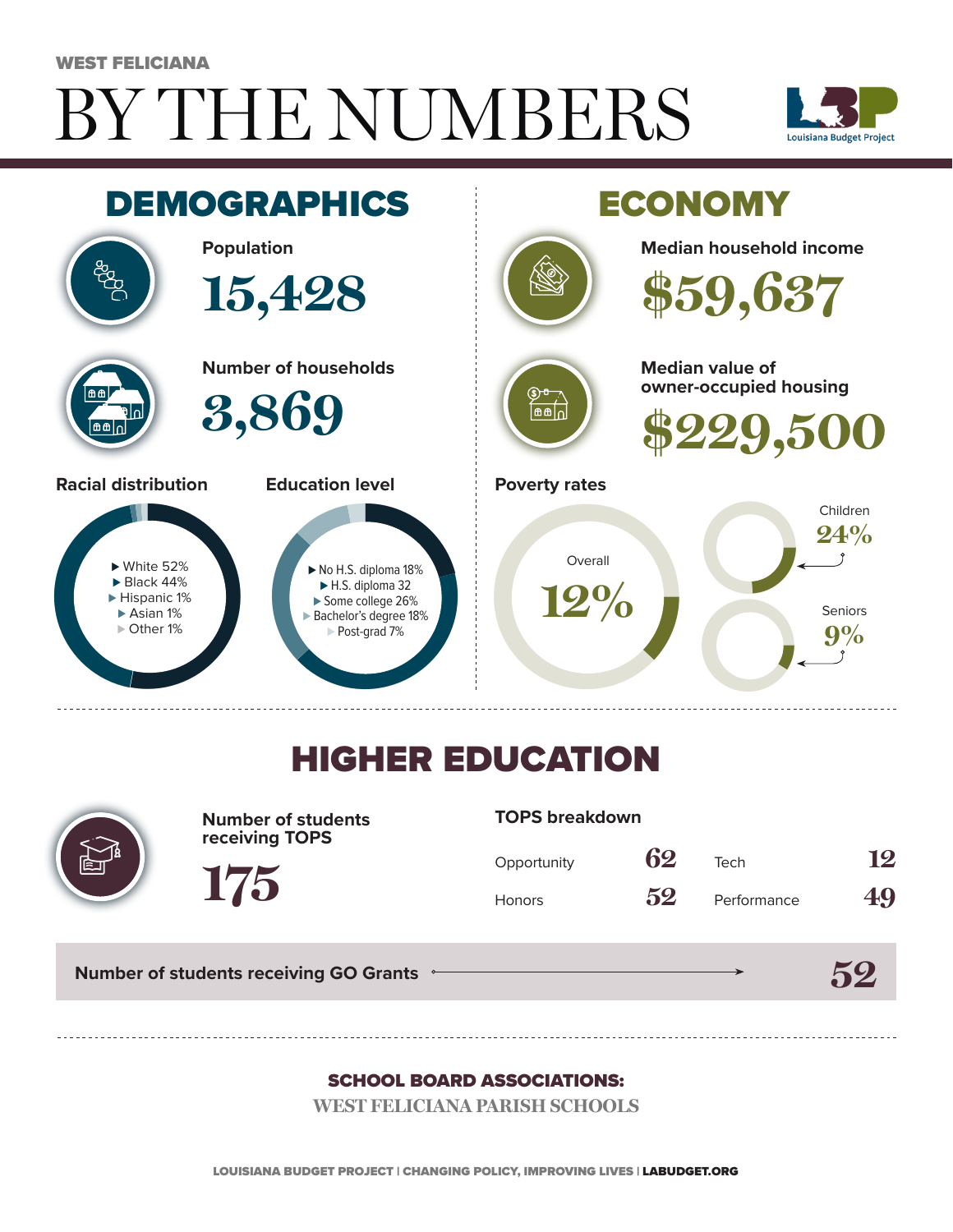# BY THE NUMBERS WEST FELICIANA





## HIGHER EDUCATION



**Number of students receiving TOPS**

#### **TOPS breakdown**

| Opportunity   | 62 | Tech        | 12 |
|---------------|----|-------------|----|
| <b>Honors</b> | 52 | Performance | 49 |

**52**

**Number of students receiving GO Grants**

**175**

#### SCHOOL BOARD ASSOCIATIONS:

**WEST FELICIANA PARISH SCHOOLS**